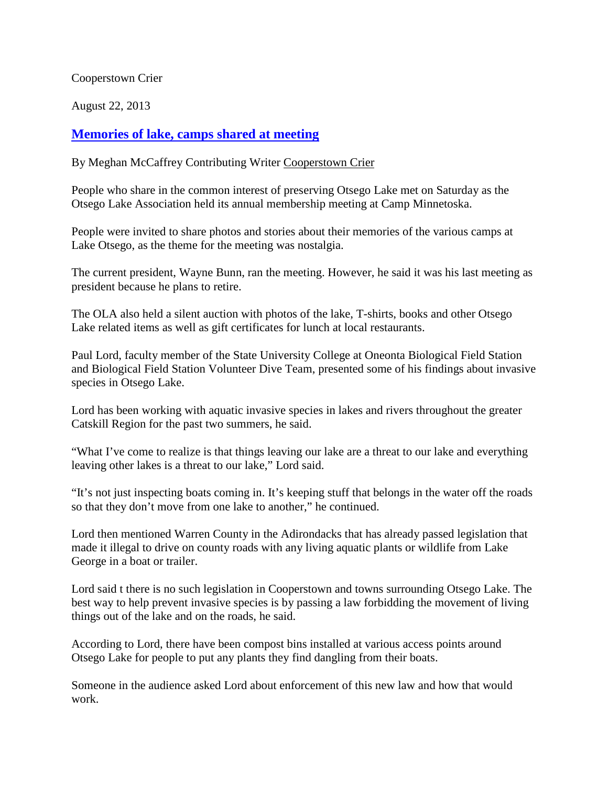Cooperstown Crier

August 22, 2013

## **[Memories of lake, camps shared at meeting](http://www.coopercrier.com/localnews/x335455620/Memories-of-lake-camps-shared-at-meeting)**

By Meghan McCaffrey Contributing Writer [Cooperstown Crier](http://www.coopercrier.com/)

People who share in the common interest of preserving Otsego Lake met on Saturday as the Otsego Lake Association held its annual membership meeting at Camp Minnetoska.

People were invited to share photos and stories about their memories of the various camps at Lake Otsego, as the theme for the meeting was nostalgia.

The current president, Wayne Bunn, ran the meeting. However, he said it was his last meeting as president because he plans to retire.

The OLA also held a silent auction with photos of the lake, T-shirts, books and other Otsego Lake related items as well as gift certificates for lunch at local restaurants.

Paul Lord, faculty member of the State University College at Oneonta Biological Field Station and Biological Field Station Volunteer Dive Team, presented some of his findings about invasive species in Otsego Lake.

Lord has been working with aquatic invasive species in lakes and rivers throughout the greater Catskill Region for the past two summers, he said.

"What I've come to realize is that things leaving our lake are a threat to our lake and everything leaving other lakes is a threat to our lake," Lord said.

"It's not just inspecting boats coming in. It's keeping stuff that belongs in the water off the roads so that they don't move from one lake to another," he continued.

Lord then mentioned Warren County in the Adirondacks that has already passed legislation that made it illegal to drive on county roads with any living aquatic plants or wildlife from Lake George in a boat or trailer.

Lord said t there is no such legislation in Cooperstown and towns surrounding Otsego Lake. The best way to help prevent invasive species is by passing a law forbidding the movement of living things out of the lake and on the roads, he said.

According to Lord, there have been compost bins installed at various access points around Otsego Lake for people to put any plants they find dangling from their boats.

Someone in the audience asked Lord about enforcement of this new law and how that would work.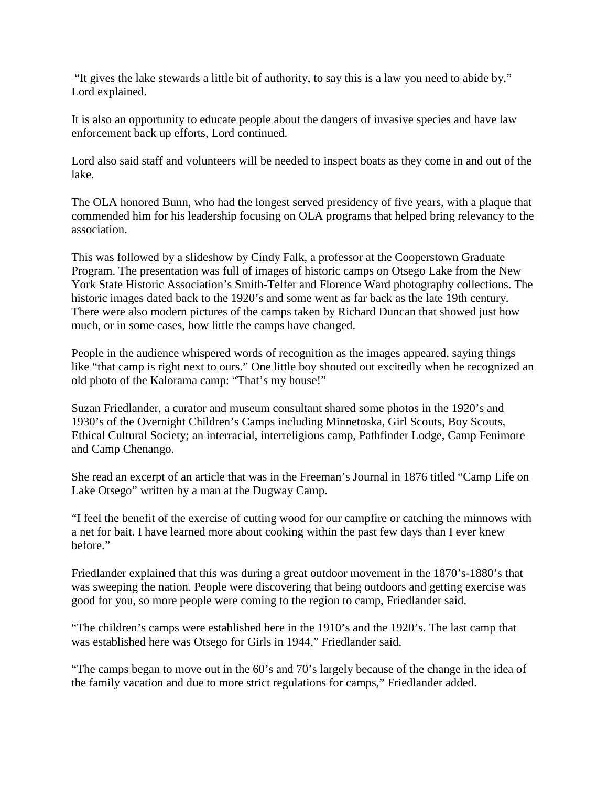"It gives the lake stewards a little bit of authority, to say this is a law you need to abide by," Lord explained.

It is also an opportunity to educate people about the dangers of invasive species and have law enforcement back up efforts, Lord continued.

Lord also said staff and volunteers will be needed to inspect boats as they come in and out of the lake.

The OLA honored Bunn, who had the longest served presidency of five years, with a plaque that commended him for his leadership focusing on OLA programs that helped bring relevancy to the association.

This was followed by a slideshow by Cindy Falk, a professor at the Cooperstown Graduate Program. The presentation was full of images of historic camps on Otsego Lake from the New York State Historic Association's Smith-Telfer and Florence Ward photography collections. The historic images dated back to the 1920's and some went as far back as the late 19th century. There were also modern pictures of the camps taken by Richard Duncan that showed just how much, or in some cases, how little the camps have changed.

People in the audience whispered words of recognition as the images appeared, saying things like "that camp is right next to ours." One little boy shouted out excitedly when he recognized an old photo of the Kalorama camp: "That's my house!"

Suzan Friedlander, a curator and museum consultant shared some photos in the 1920's and 1930's of the Overnight Children's Camps including Minnetoska, Girl Scouts, Boy Scouts, Ethical Cultural Society; an interracial, interreligious camp, Pathfinder Lodge, Camp Fenimore and Camp Chenango.

She read an excerpt of an article that was in the Freeman's Journal in 1876 titled "Camp Life on Lake Otsego" written by a man at the Dugway Camp.

"I feel the benefit of the exercise of cutting wood for our campfire or catching the minnows with a net for bait. I have learned more about cooking within the past few days than I ever knew before."

Friedlander explained that this was during a great outdoor movement in the 1870's-1880's that was sweeping the nation. People were discovering that being outdoors and getting exercise was good for you, so more people were coming to the region to camp, Friedlander said.

"The children's camps were established here in the 1910's and the 1920's. The last camp that was established here was Otsego for Girls in 1944," Friedlander said.

"The camps began to move out in the 60's and 70's largely because of the change in the idea of the family vacation and due to more strict regulations for camps," Friedlander added.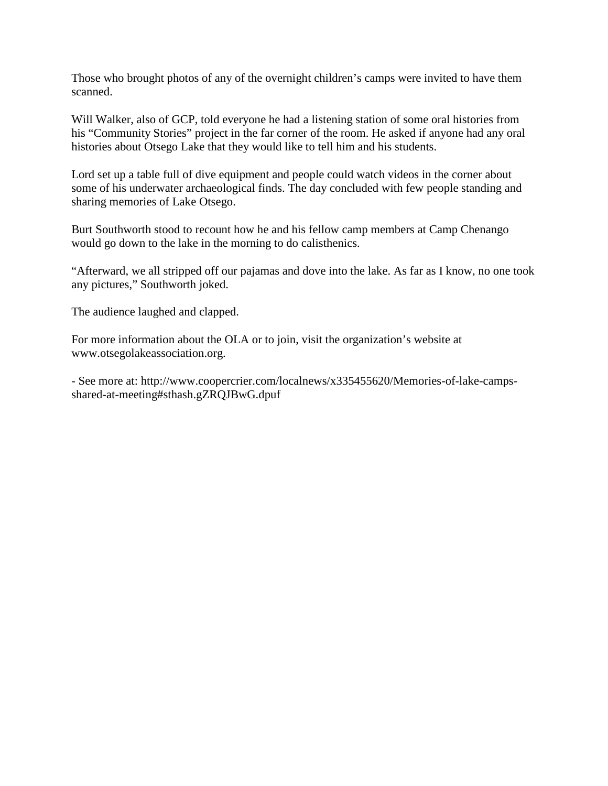Those who brought photos of any of the overnight children's camps were invited to have them scanned.

Will Walker, also of GCP, told everyone he had a listening station of some oral histories from his "Community Stories" project in the far corner of the room. He asked if anyone had any oral histories about Otsego Lake that they would like to tell him and his students.

Lord set up a table full of dive equipment and people could watch videos in the corner about some of his underwater archaeological finds. The day concluded with few people standing and sharing memories of Lake Otsego.

Burt Southworth stood to recount how he and his fellow camp members at Camp Chenango would go down to the lake in the morning to do calisthenics.

"Afterward, we all stripped off our pajamas and dove into the lake. As far as I know, no one took any pictures," Southworth joked.

The audience laughed and clapped.

For more information about the OLA or to join, visit the organization's website at www.otsegolakeassociation.org.

- See more at: http://www.coopercrier.com/localnews/x335455620/Memories-of-lake-campsshared-at-meeting#sthash.gZRQJBwG.dpuf